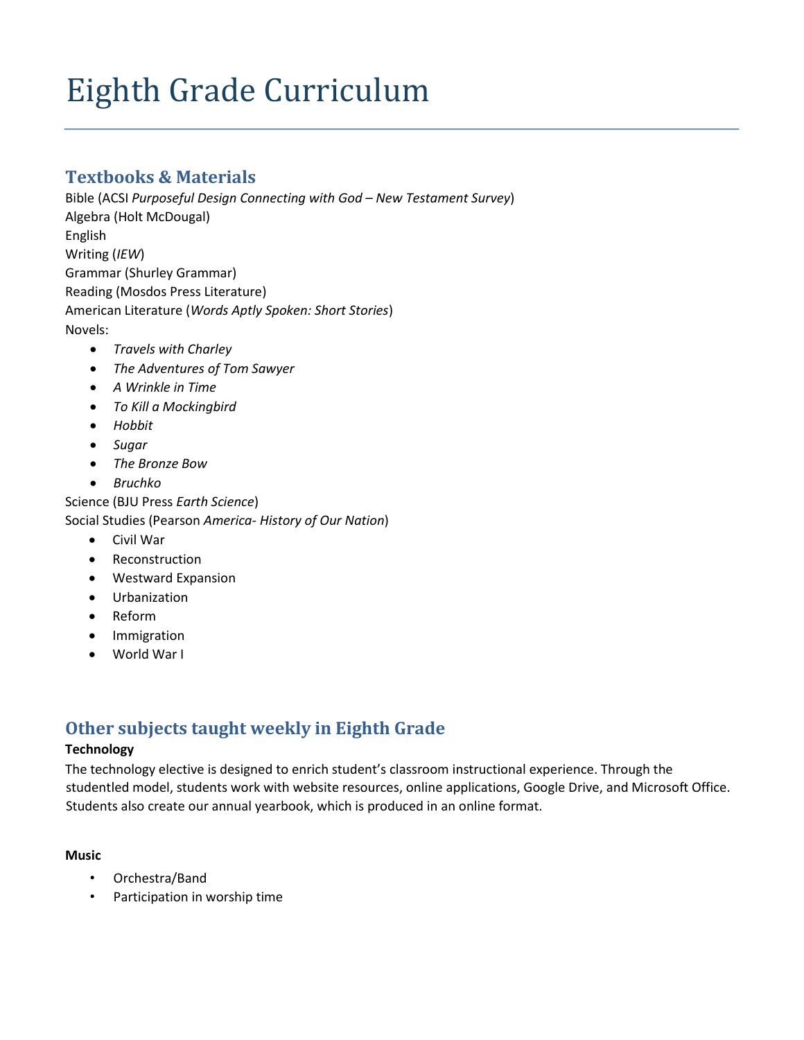# Eighth Grade Curriculum

## **Textbooks & Materials**

Bible (ACSI *Purposeful Design Connecting with God – New Testament Survey*) Algebra (Holt McDougal) English Writing (*IEW*) Grammar (Shurley Grammar) Reading (Mosdos Press Literature) American Literature (*Words Aptly Spoken: Short Stories*) Novels:

- *Travels with Charley*
- *The Adventures of Tom Sawyer*
- *A Wrinkle in Time*
- *To Kill a Mockingbird*
- *Hobbit*
- *Sugar*
- *The Bronze Bow*
- *Bruchko*

Science (BJU Press *Earth Science*) Social Studies (Pearson *America- History of Our Nation*)

- Civil War
- Reconstruction
- Westward Expansion
- Urbanization
- Reform
- Immigration
- World War I

## **Other subjects taught weekly in Eighth Grade**

## **Technology**

The technology elective is designed to enrich student's classroom instructional experience. Through the studentled model, students work with website resources, online applications, Google Drive, and Microsoft Office. Students also create our annual yearbook, which is produced in an online format.

## **Music**

- Orchestra/Band
- Participation in worship time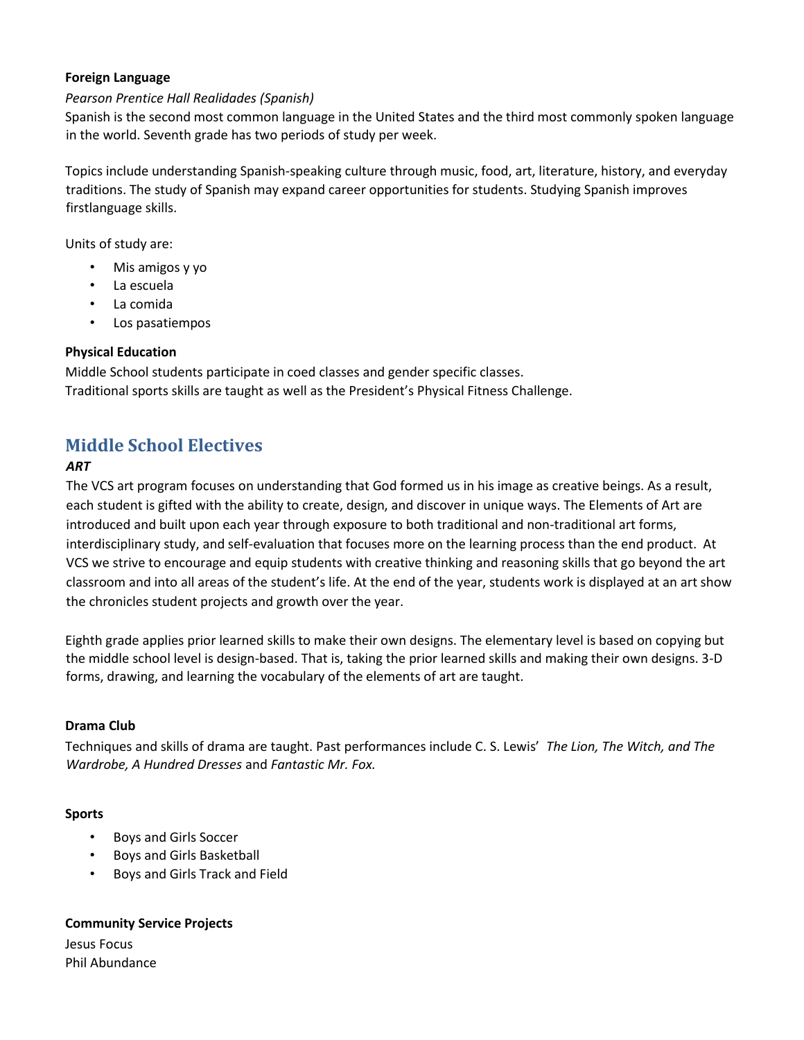## **Foreign Language**

## *Pearson Prentice Hall Realidades (Spanish)*

Spanish is the second most common language in the United States and the third most commonly spoken language in the world. Seventh grade has two periods of study per week.

Topics include understanding Spanish-speaking culture through music, food, art, literature, history, and everyday traditions. The study of Spanish may expand career opportunities for students. Studying Spanish improves firstlanguage skills.

Units of study are:

- Mis amigos y yo
- La escuela
- La comida
- Los pasatiempos

## **Physical Education**

Middle School students participate in coed classes and gender specific classes. Traditional sports skills are taught as well as the President's Physical Fitness Challenge.

## **Middle School Electives**

## *ART*

The VCS art program focuses on understanding that God formed us in his image as creative beings. As a result, each student is gifted with the ability to create, design, and discover in unique ways. The Elements of Art are introduced and built upon each year through exposure to both traditional and non-traditional art forms, interdisciplinary study, and self-evaluation that focuses more on the learning process than the end product. At VCS we strive to encourage and equip students with creative thinking and reasoning skills that go beyond the art classroom and into all areas of the student's life. At the end of the year, students work is displayed at an art show the chronicles student projects and growth over the year.

Eighth grade applies prior learned skills to make their own designs. The elementary level is based on copying but the middle school level is design-based. That is, taking the prior learned skills and making their own designs. 3-D forms, drawing, and learning the vocabulary of the elements of art are taught.

## **Drama Club**

Techniques and skills of drama are taught. Past performances include C. S. Lewis' *The Lion, The Witch, and The Wardrobe, A Hundred Dresses* and *Fantastic Mr. Fox.* 

## **Sports**

- Boys and Girls Soccer
- Boys and Girls Basketball
- Boys and Girls Track and Field

## **Community Service Projects**

Jesus Focus Phil Abundance